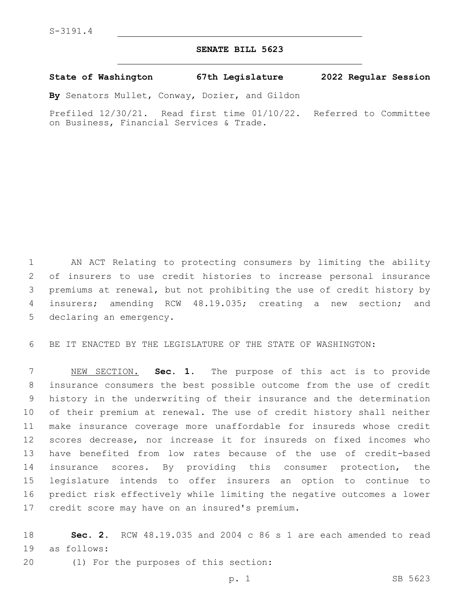## **SENATE BILL 5623**

**State of Washington 67th Legislature 2022 Regular Session**

**By** Senators Mullet, Conway, Dozier, and Gildon

Prefiled 12/30/21. Read first time 01/10/22. Referred to Committee on Business, Financial Services & Trade.

 AN ACT Relating to protecting consumers by limiting the ability of insurers to use credit histories to increase personal insurance premiums at renewal, but not prohibiting the use of credit history by insurers; amending RCW 48.19.035; creating a new section; and 5 declaring an emergency.

BE IT ENACTED BY THE LEGISLATURE OF THE STATE OF WASHINGTON:

 NEW SECTION. **Sec. 1.** The purpose of this act is to provide insurance consumers the best possible outcome from the use of credit history in the underwriting of their insurance and the determination of their premium at renewal. The use of credit history shall neither make insurance coverage more unaffordable for insureds whose credit scores decrease, nor increase it for insureds on fixed incomes who have benefited from low rates because of the use of credit-based insurance scores. By providing this consumer protection, the legislature intends to offer insurers an option to continue to predict risk effectively while limiting the negative outcomes a lower credit score may have on an insured's premium.

 **Sec. 2.** RCW 48.19.035 and 2004 c 86 s 1 are each amended to read 19 as follows:

20 (1) For the purposes of this section: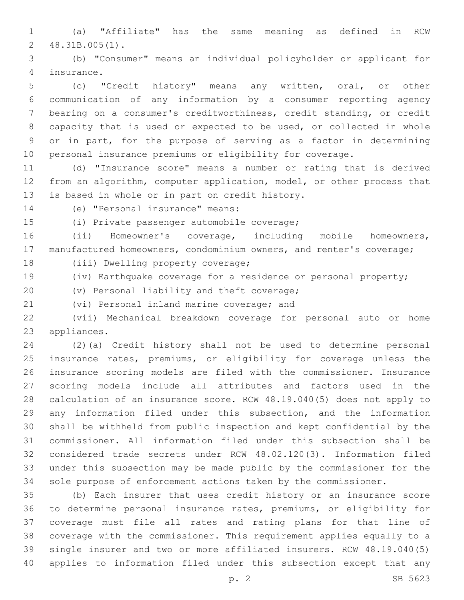(a) "Affiliate" has the same meaning as defined in RCW 48.31B.005(1).2

 (b) "Consumer" means an individual policyholder or applicant for 4 insurance.

 (c) "Credit history" means any written, oral, or other communication of any information by a consumer reporting agency bearing on a consumer's creditworthiness, credit standing, or credit capacity that is used or expected to be used, or collected in whole or in part, for the purpose of serving as a factor in determining personal insurance premiums or eligibility for coverage.

 (d) "Insurance score" means a number or rating that is derived from an algorithm, computer application, model, or other process that 13 is based in whole or in part on credit history.

14 (e) "Personal insurance" means:

(i) Private passenger automobile coverage;15

 (ii) Homeowner's coverage, including mobile homeowners, manufactured homeowners, condominium owners, and renter's coverage;

18 (iii) Dwelling property coverage;

(iv) Earthquake coverage for a residence or personal property;

20 (v) Personal liability and theft coverage;

21 (vi) Personal inland marine coverage; and

 (vii) Mechanical breakdown coverage for personal auto or home 23 appliances.

 (2)(a) Credit history shall not be used to determine personal insurance rates, premiums, or eligibility for coverage unless the insurance scoring models are filed with the commissioner. Insurance scoring models include all attributes and factors used in the calculation of an insurance score. RCW 48.19.040(5) does not apply to any information filed under this subsection, and the information shall be withheld from public inspection and kept confidential by the commissioner. All information filed under this subsection shall be considered trade secrets under RCW 48.02.120(3). Information filed under this subsection may be made public by the commissioner for the sole purpose of enforcement actions taken by the commissioner.

 (b) Each insurer that uses credit history or an insurance score to determine personal insurance rates, premiums, or eligibility for coverage must file all rates and rating plans for that line of coverage with the commissioner. This requirement applies equally to a single insurer and two or more affiliated insurers. RCW 48.19.040(5) applies to information filed under this subsection except that any

p. 2 SB 5623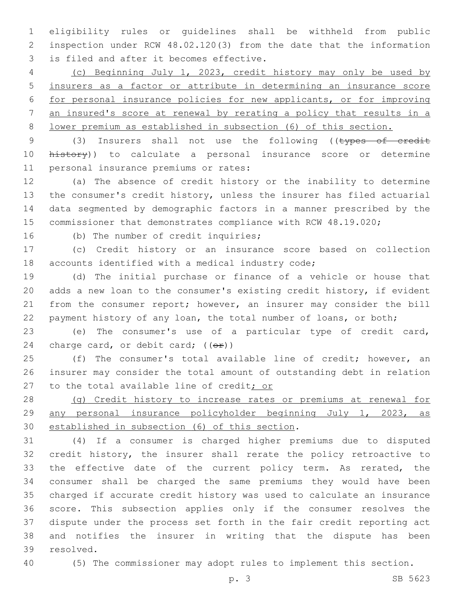eligibility rules or guidelines shall be withheld from public inspection under RCW 48.02.120(3) from the date that the information 3 is filed and after it becomes effective.

 (c) Beginning July 1, 2023, credit history may only be used by insurers as a factor or attribute in determining an insurance score for personal insurance policies for new applicants, or for improving an insured's score at renewal by rerating a policy that results in a lower premium as established in subsection (6) of this section.

9 (3) Insurers shall not use the following ((types of credit 10 history)) to calculate a personal insurance score or determine 11 personal insurance premiums or rates:

 (a) The absence of credit history or the inability to determine the consumer's credit history, unless the insurer has filed actuarial data segmented by demographic factors in a manner prescribed by the commissioner that demonstrates compliance with RCW 48.19.020;

16 (b) The number of credit inquiries;

 (c) Credit history or an insurance score based on collection 18 accounts identified with a medical industry code;

 (d) The initial purchase or finance of a vehicle or house that adds a new loan to the consumer's existing credit history, if evident from the consumer report; however, an insurer may consider the bill payment history of any loan, the total number of loans, or both;

 (e) The consumer's use of a particular type of credit card, 24 charge card, or debit card;  $((\theta \cdot \hat{r}))$ 

 (f) The consumer's total available line of credit; however, an insurer may consider the total amount of outstanding debt in relation 27 to the total available line of credit; or

 (g) Credit history to increase rates or premiums at renewal for any personal insurance policyholder beginning July 1, 2023, as 30 established in subsection (6) of this section.

 (4) If a consumer is charged higher premiums due to disputed credit history, the insurer shall rerate the policy retroactive to the effective date of the current policy term. As rerated, the consumer shall be charged the same premiums they would have been charged if accurate credit history was used to calculate an insurance score. This subsection applies only if the consumer resolves the dispute under the process set forth in the fair credit reporting act and notifies the insurer in writing that the dispute has been 39 resolved.

(5) The commissioner may adopt rules to implement this section.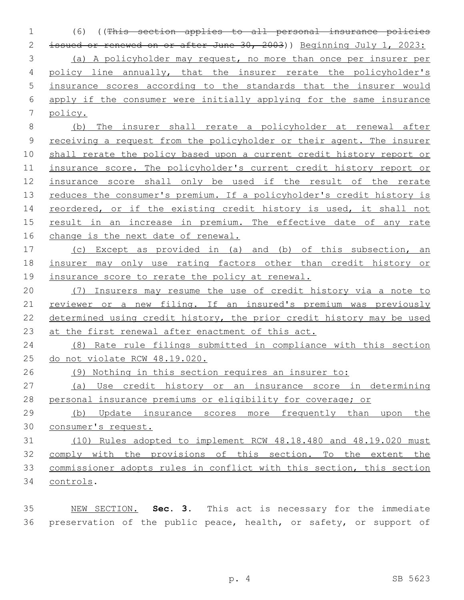(6) ((This section applies to all personal insurance policies issued or renewed on or after June 30, 2003)) Beginning July 1, 2023: (a) A policyholder may request, no more than once per insurer per policy line annually, that the insurer rerate the policyholder's insurance scores according to the standards that the insurer would apply if the consumer were initially applying for the same insurance policy.

 (b) The insurer shall rerate a policyholder at renewal after receiving a request from the policyholder or their agent. The insurer shall rerate the policy based upon a current credit history report or insurance score. The policyholder's current credit history report or insurance score shall only be used if the result of the rerate 13 reduces the consumer's premium. If a policyholder's credit history is 14 reordered, or if the existing credit history is used, it shall not result in an increase in premium. The effective date of any rate change is the next date of renewal.

 (c) Except as provided in (a) and (b) of this subsection, an insurer may only use rating factors other than credit history or 19 insurance score to rerate the policy at renewal.

 (7) Insurers may resume the use of credit history via a note to 21 reviewer or a new filing. If an insured's premium was previously determined using credit history, the prior credit history may be used 23 at the first renewal after enactment of this act.

 (8) Rate rule filings submitted in compliance with this section do not violate RCW 48.19.020.

(9) Nothing in this section requires an insurer to:

 (a) Use credit history or an insurance score in determining personal insurance premiums or eligibility for coverage; or

 (b) Update insurance scores more frequently than upon the consumer's request.

 (10) Rules adopted to implement RCW 48.18.480 and 48.19.020 must comply with the provisions of this section. To the extent the commissioner adopts rules in conflict with this section, this section controls.34

 NEW SECTION. **Sec. 3.** This act is necessary for the immediate 36 preservation of the public peace, health, or safety, or support of